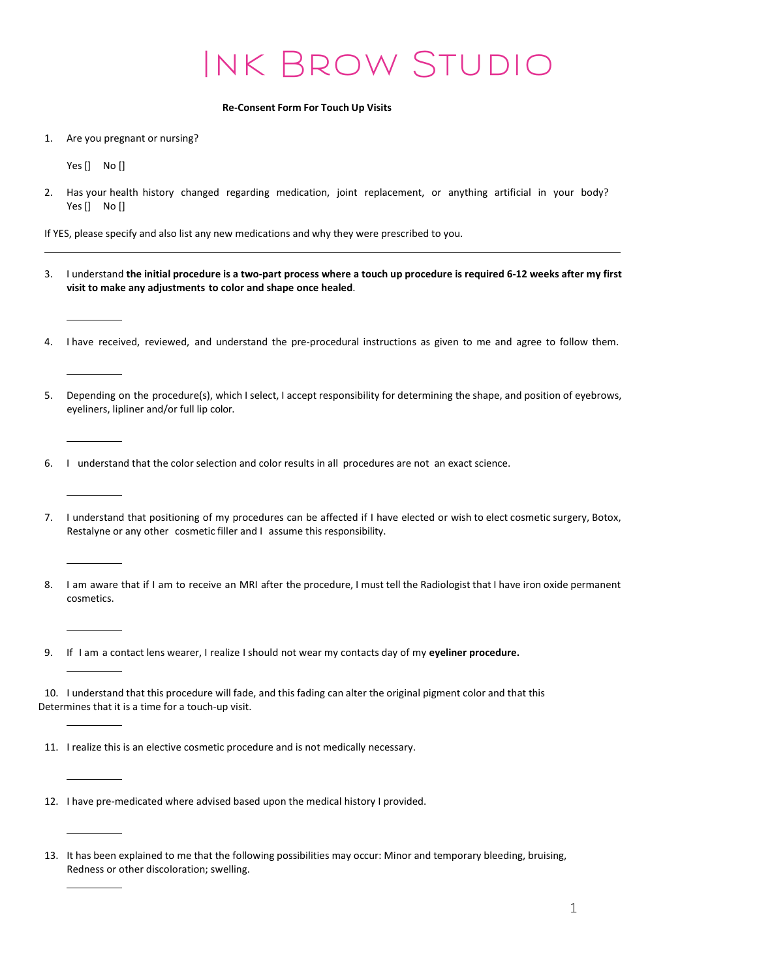## Ink Brow Studio

## Re-Consent Form For Touch Up Visits

1. Are you pregnant or nursing?

Yes [] No []

2. Has your health history changed regarding medication, joint replacement, or anything artificial in your body? Yes [] No []

If YES, please specify and also list any new medications and why they were prescribed to you.

- 3. I understand the initial procedure is a two-part process where a touch up procedure is required 6-12 weeks after my first visit to make any adjustments to color and shape once healed.
- 4. I have received, reviewed, and understand the pre-procedural instructions as given to me and agree to follow them.
- 5. Depending on the procedure(s), which I select, I accept responsibility for determining the shape, and position of eyebrows, eyeliners, lipliner and/or full lip color.
- 6. I understand that the color selection and color results in all procedures are not an exact science.
- 7. I understand that positioning of my procedures can be affected if I have elected or wish to elect cosmetic surgery, Botox, Restalyne or any other cosmetic filler and I assume this responsibility.
- 8. I am aware that if I am to receive an MRI after the procedure, I must tell the Radiologist that I have iron oxide permanent cosmetics.

9. If I am a contact lens wearer, I realize I should not wear my contacts day of my eyeliner procedure.

10. I understand that this procedure will fade, and this fading can alter the original pigment color and that this Determines that it is a time for a touch-up visit.

- 11. I realize this is an elective cosmetic procedure and is not medically necessary.
- 12. I have pre-medicated where advised based upon the medical history I provided.

<sup>13.</sup> It has been explained to me that the following possibilities may occur: Minor and temporary bleeding, bruising, Redness or other discoloration; swelling.